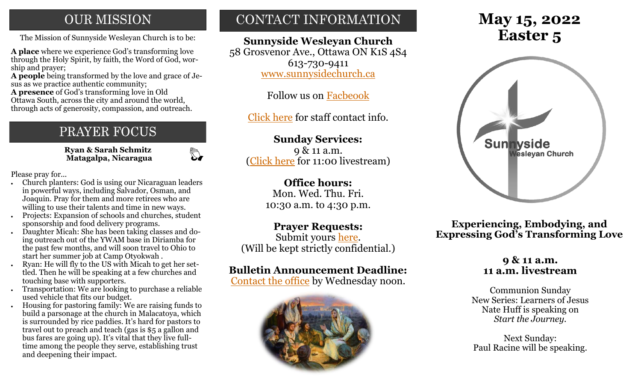## **OUR MISSION**

The Mission of Sunnyside Wesleyan Church is to be: **Easter 5** 

**A place** where we experience God's transforming love through the Holy Spirit, by faith, the Word of God, worship and prayer;

**A people** being transformed by the love and grace of Jesus as we practice authentic community;

**A presence** of God's transforming love in Old Ottawa South, across the city and around the world, through acts of generosity, compassion, and outreach.

## PRAYER FOCUS

 **Ryan & Sarah Schmitz Matagalpa, Nicaragua**

 $\mathbb{C}$ 

Please pray for...

- Church planters: God is using our Nicaraguan leaders in powerful ways, including Salvador, Osman, and Joaquin. Pray for them and more retirees who are willing to use their talents and time in new ways.
- Projects: Expansion of schools and churches, student sponsorship and food delivery programs.
- Daughter Micah: She has been taking classes and doing outreach out of the YWAM base in Diriamba for the past few months, and will soon travel to Ohio to start her summer job at Camp Otyokwah .
- Ryan: He will fly to the US with Micah to get her settled. Then he will be speaking at a few churches and touching base with supporters.
- Transportation: We are looking to purchase a reliable used vehicle that fits our budget.
- Housing for pastoring family: We are raising funds to build a parsonage at the church in Malacatoya, which is surrounded by rice paddies. It's hard for pastors to travel out to preach and teach (gas is \$5 a gallon and bus fares are going up). It's vital that they live fulltime among the people they serve, establishing trust and deepening their impact.

## CONTACT INFORMATION

**Sunnyside Wesleyan Church** 58 Grosvenor Ave., Ottawa ON K1S 4S4 613-730-9411 [www.sunnysidechurch.ca](http://www.sunnysidechurch.ca)

Follow us on [Facbeook](http://www.facebook.com/sunnysidewesleyanchurch)

[Click here](http://www.sunnysidechurch.ca/about-sunnyside/staff/) for staff contact info.

## **Sunday Services:**

9 & 11 a.m. [\(Click here](https://youtube.com/channel/UCYfl9Qy37Az7fqqFQpDEwjg) for 11:00 livestream)

## **Office hours:**

Mon. Wed. Thu. Fri. 10:30 a.m. to 4:30 p.m.

## **Prayer Requests:**

Submit yours [here.](mailto:prayer@sunnysidechurch.ca) (Will be kept strictly confidential.)

## **Bulletin Announcement Deadline:**

[Contact the office](mailto:office@sunnysidechurch.ca) by Wednesday noon.



# **May 15, 2022**



**Experiencing, Embodying, and Expressing God's Transforming Love**

## **9 & 11 a.m. 11 a.m. livestream**

Communion Sunday New Series: Learners of Jesus Nate Huff is speaking on *Start the Journey.*

Next Sunday: Paul Racine will be speaking.